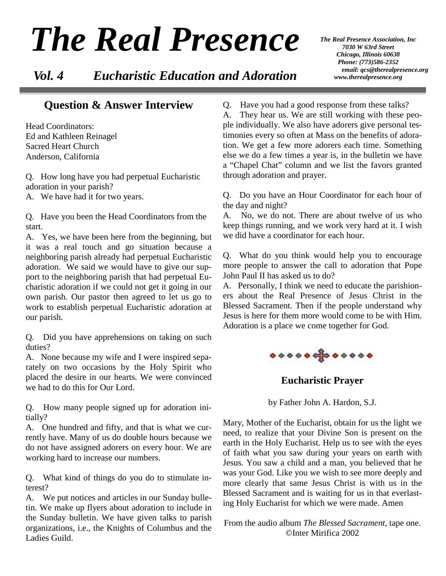# *The Real Presence*

 *Vol. 4 Eucharistic Education and Adoration*

*The Real Presence Association, Inc 7030 W 63rd Street Chicago, Illinois 60638 Phone: (773)586-2352 email: qcs@therealpresence.org www.therealpresence.org* 

### **Question & Answer Interview**

Head Coordinators: Ed and Kathleen Reinagel Sacred Heart Church Anderson, California

Q. How long have you had perpetual Eucharistic adoration in your parish?

A. We have had it for two years.

Q. Have you been the Head Coordinators from the start.

A. Yes, we have been here from the beginning, but it was a real touch and go situation because a neighboring parish already had perpetual Eucharistic adoration. We said we would have to give our support to the neighboring parish that had perpetual Eucharistic adoration if we could not get it going in our own parish. Our pastor then agreed to let us go to work to establish perpetual Eucharistic adoration at our parish.

Q. Did you have apprehensions on taking on such duties?

A. None because my wife and I were inspired separately on two occasions by the Holy Spirit who placed the desire in our hearts. We were convinced we had to do this for Our Lord.

Q. How many people signed up for adoration initially?

A. One hundred and fifty, and that is what we currently have. Many of us do double hours because we do not have assigned adorers on every hour. We are working hard to increase our numbers.

Q. What kind of things do you do to stimulate interest?

A. We put notices and articles in our Sunday bulletin. We make up flyers about adoration to include in the Sunday bulletin. We have given talks to parish organizations, i.e., the Knights of Columbus and the Ladies Guild.

Q. Have you had a good response from these talks? A. They hear us. We are still working with these people individually. We also have adorers give personal testimonies every so often at Mass on the benefits of adoration. We get a few more adorers each time. Something else we do a few times a year is, in the bulletin we have a "Chapel Chat" column and we list the favors granted through adoration and prayer.

Q. Do you have an Hour Coordinator for each hour of the day and night?

A. No, we do not. There are about twelve of us who keep things running, and we work very hard at it. I wish we did have a coordinator for each hour.

Q. What do you think would help you to encourage more people to answer the call to adoration that Pope John Paul II has asked us to do?

A. Personally, I think we need to educate the parishioners about the Real Presence of Jesus Christ in the Blessed Sacrament. Then if the people understand why Jesus is here for them more would come to be with Him. Adoration is a place we come together for God.



**Eucharistic Prayer** 

by Father John A. Hardon, S.J.

Mary, Mother of the Eucharist, obtain for us the light we need, to realize that your Divine Son is present on the earth in the Holy Eucharist. Help us to see with the eyes of faith what you saw during your years on earth with Jesus. You saw a child and a man, you believed that he was your God. Like you we wish to see more deeply and more clearly that same Jesus Christ is with us in the Blessed Sacrament and is waiting for us in that everlasting Holy Eucharist for which we were made. Amen

From the audio album *The Blessed Sacrament*, tape one. ©Inter Mirifica 2002